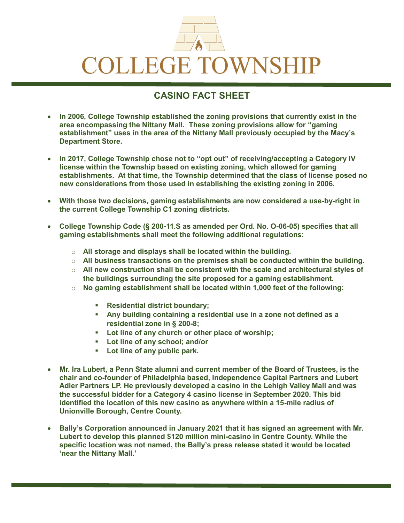

## **CASINO FACT SHEET**

- **In 2006, College Township established the zoning provisions that currently exist in the area encompassing the Nittany Mall. These zoning provisions allow for "gaming establishment" uses in the area of the Nittany Mall previously occupied by the Macy's Department Store.**
- **In 2017, College Township chose not to "opt out" of receiving/accepting a Category IV license within the Township based on existing zoning, which allowed for gaming establishments. At that time, the Township determined that the class of license posed no new considerations from those used in establishing the existing zoning in 2006.**
- **With those two decisions, gaming establishments are now considered a use-by-right in the current College Township C1 zoning districts.**
- **College Township Code (§ 200-11.S as amended per Ord. No. O-06-05) specifies that all gaming establishments shall meet the following additional regulations:**
	- o **All storage and displays shall be located within the building.**
	- o **All business transactions on the premises shall be conducted within the building.**
	- o **All new construction shall be consistent with the scale and architectural styles of the buildings surrounding the site proposed for a gaming establishment.**
	- o **No gaming establishment shall be located within 1,000 feet of the following:**
		- **Residential district boundary;**
		- **Any building containing a residential use in a zone not defined as a residential zone in § 200-8;**
		- **Lot line of any church or other place of worship;**
		- **Lot line of any school; and/or**
		- **Lot line of any public park.**
- **Mr. Ira Lubert, a Penn State alumni and current member of the Board of Trustees, is the chair and co-founder of Philadelphia based, Independence Capital Partners and Lubert Adler Partners LP. He previously developed a casino in the Lehigh Valley Mall and was the successful bidder for a Category 4 casino license in September 2020. This bid identified the location of this new casino as anywhere within a 15-mile radius of Unionville Borough, Centre County.**
- **Bally's Corporation announced in January 2021 that it has signed an agreement with Mr. Lubert to develop this planned \$120 million mini-casino in Centre County. While the specific location was not named, the Bally's press release stated it would be located 'near the Nittany Mall.'**